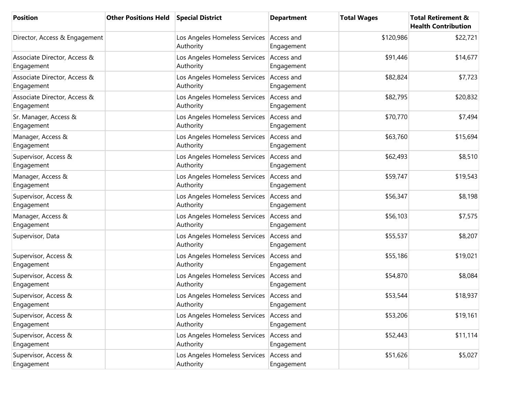| <b>Position</b>                            | <b>Other Positions Held</b> | <b>Special District</b>                                 | <b>Department</b>        | <b>Total Wages</b> | <b>Total Retirement &amp;</b><br><b>Health Contribution</b> |
|--------------------------------------------|-----------------------------|---------------------------------------------------------|--------------------------|--------------------|-------------------------------------------------------------|
| Director, Access & Engagement              |                             | Los Angeles Homeless Services Access and<br>Authority   | Engagement               | \$120,986          | \$22,721                                                    |
| Associate Director, Access &<br>Engagement |                             | Los Angeles Homeless Services Access and<br>Authority   | Engagement               | \$91,446           | \$14,677                                                    |
| Associate Director, Access &<br>Engagement |                             | Los Angeles Homeless Services Access and<br>Authority   | Engagement               | \$82,824           | \$7,723                                                     |
| Associate Director, Access &<br>Engagement |                             | Los Angeles Homeless Services<br>Authority              | Access and<br>Engagement | \$82,795           | \$20,832                                                    |
| Sr. Manager, Access &<br>Engagement        |                             | Los Angeles Homeless Services<br>Authority              | Access and<br>Engagement | \$70,770           | \$7,494                                                     |
| Manager, Access &<br>Engagement            |                             | Los Angeles Homeless Services<br>Authority              | Access and<br>Engagement | \$63,760           | \$15,694                                                    |
| Supervisor, Access &<br>Engagement         |                             | Los Angeles Homeless Services<br>Authority              | Access and<br>Engagement | \$62,493           | \$8,510                                                     |
| Manager, Access &<br>Engagement            |                             | Los Angeles Homeless Services Access and<br>Authority   | Engagement               | \$59,747           | \$19,543                                                    |
| Supervisor, Access &<br>Engagement         |                             | Los Angeles Homeless Services<br>Authority              | Access and<br>Engagement | \$56,347           | \$8,198                                                     |
| Manager, Access &<br>Engagement            |                             | Los Angeles Homeless Services<br>Authority              | Access and<br>Engagement | \$56,103           | \$7,575                                                     |
| Supervisor, Data                           |                             | Los Angeles Homeless Services<br>Authority              | Access and<br>Engagement | \$55,537           | \$8,207                                                     |
| Supervisor, Access &<br>Engagement         |                             | Los Angeles Homeless Services Access and<br>Authority   | Engagement               | \$55,186           | \$19,021                                                    |
| Supervisor, Access &<br>Engagement         |                             | Los Angeles Homeless Services Access and<br>Authority   | Engagement               | \$54,870           | \$8,084                                                     |
| Supervisor, Access &<br>Engagement         |                             | Los Angeles Homeless Services   Access and<br>Authority | Engagement               | \$53,544           | \$18,937                                                    |
| Supervisor, Access &<br>Engagement         |                             | Los Angeles Homeless Services<br>Authority              | Access and<br>Engagement | \$53,206           | \$19,161                                                    |
| Supervisor, Access &<br>Engagement         |                             | Los Angeles Homeless Services<br>Authority              | Access and<br>Engagement | \$52,443           | \$11,114                                                    |
| Supervisor, Access &<br>Engagement         |                             | Los Angeles Homeless Services<br>Authority              | Access and<br>Engagement | \$51,626           | \$5,027                                                     |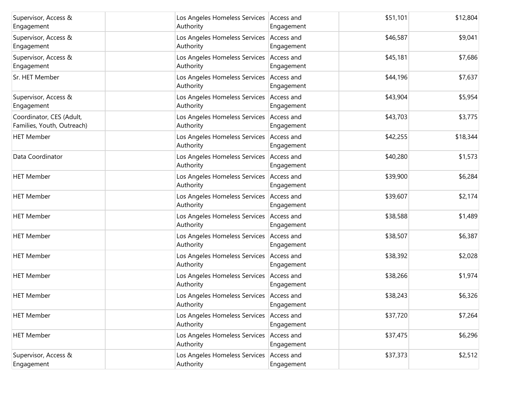| Supervisor, Access &<br>Engagement                     | Los Angeles Homeless Services Access and<br>Authority   | Engagement               | \$51,101 | \$12,804 |
|--------------------------------------------------------|---------------------------------------------------------|--------------------------|----------|----------|
| Supervisor, Access &<br>Engagement                     | Los Angeles Homeless Services Access and<br>Authority   | Engagement               | \$46,587 | \$9,041  |
| Supervisor, Access &<br>Engagement                     | Los Angeles Homeless Services Access and<br>Authority   | Engagement               | \$45,181 | \$7,686  |
| Sr. HET Member                                         | Los Angeles Homeless Services<br>Authority              | Access and<br>Engagement | \$44,196 | \$7,637  |
| Supervisor, Access &<br>Engagement                     | Los Angeles Homeless Services   Access and<br>Authority | Engagement               | \$43,904 | \$5,954  |
| Coordinator, CES (Adult,<br>Families, Youth, Outreach) | Los Angeles Homeless Services Access and<br>Authority   | Engagement               | \$43,703 | \$3,775  |
| <b>HET Member</b>                                      | Los Angeles Homeless Services Access and<br>Authority   | Engagement               | \$42,255 | \$18,344 |
| Data Coordinator                                       | Los Angeles Homeless Services   Access and<br>Authority | Engagement               | \$40,280 | \$1,573  |
| <b>HET Member</b>                                      | Los Angeles Homeless Services<br>Authority              | Access and<br>Engagement | \$39,900 | \$6,284  |
| <b>HET Member</b>                                      | Los Angeles Homeless Services<br>Authority              | Access and<br>Engagement | \$39,607 | \$2,174  |
| <b>HET Member</b>                                      | Los Angeles Homeless Services Access and<br>Authority   | Engagement               | \$38,588 | \$1,489  |
| <b>HET Member</b>                                      | Los Angeles Homeless Services<br>Authority              | Access and<br>Engagement | \$38,507 | \$6,387  |
| <b>HET Member</b>                                      | Los Angeles Homeless Services Access and<br>Authority   | Engagement               | \$38,392 | \$2,028  |
| <b>HET Member</b>                                      | Los Angeles Homeless Services Access and<br>Authority   | Engagement               | \$38,266 | \$1,974  |
| <b>HET Member</b>                                      | Los Angeles Homeless Services Access and<br>Authority   | Engagement               | \$38,243 | \$6,326  |
| <b>HET Member</b>                                      | Los Angeles Homeless Services<br>Authority              | Access and<br>Engagement | \$37,720 | \$7,264  |
| <b>HET Member</b>                                      | Los Angeles Homeless Services<br>Authority              | Access and<br>Engagement | \$37,475 | \$6,296  |
| Supervisor, Access &<br>Engagement                     | Los Angeles Homeless Services<br>Authority              | Access and<br>Engagement | \$37,373 | \$2,512  |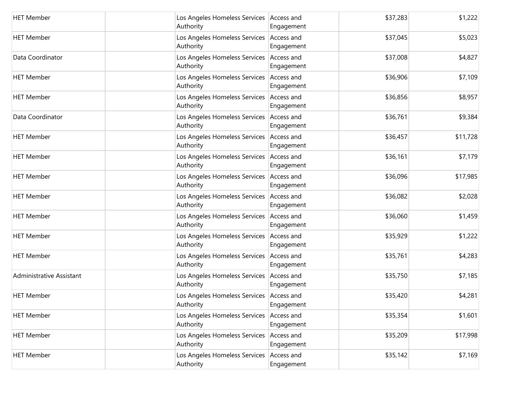| <b>HET Member</b>        | Los Angeles Homeless Services Access and<br>Authority   | Engagement               | \$37,283 | \$1,222  |
|--------------------------|---------------------------------------------------------|--------------------------|----------|----------|
| <b>HET Member</b>        | Los Angeles Homeless Services Access and<br>Authority   | Engagement               | \$37,045 | \$5,023  |
| Data Coordinator         | Los Angeles Homeless Services   Access and<br>Authority | Engagement               | \$37,008 | \$4,827  |
| <b>HET Member</b>        | Los Angeles Homeless Services Access and<br>Authority   | Engagement               | \$36,906 | \$7,109  |
| <b>HET Member</b>        | Los Angeles Homeless Services Access and<br>Authority   | Engagement               | \$36,856 | \$8,957  |
| Data Coordinator         | Los Angeles Homeless Services   Access and<br>Authority | Engagement               | \$36,761 | \$9,384  |
| <b>HET Member</b>        | Los Angeles Homeless Services<br>Authority              | Access and<br>Engagement | \$36,457 | \$11,728 |
| <b>HET Member</b>        | Los Angeles Homeless Services<br>Authority              | Access and<br>Engagement | \$36,161 | \$7,179  |
| <b>HET Member</b>        | Los Angeles Homeless Services Access and<br>Authority   | Engagement               | \$36,096 | \$17,985 |
| <b>HET Member</b>        | Los Angeles Homeless Services<br>Authority              | Access and<br>Engagement | \$36,082 | \$2,028  |
| <b>HET Member</b>        | Los Angeles Homeless Services Access and<br>Authority   | Engagement               | \$36,060 | \$1,459  |
| <b>HET Member</b>        | Los Angeles Homeless Services<br>Authority              | Access and<br>Engagement | \$35,929 | \$1,222  |
| <b>HET Member</b>        | Los Angeles Homeless Services Access and<br>Authority   | Engagement               | \$35,761 | \$4,283  |
| Administrative Assistant | Los Angeles Homeless Services   Access and<br>Authority | Engagement               | \$35,750 | \$7,185  |
| <b>HET Member</b>        | Los Angeles Homeless Services Access and<br>Authority   | Engagement               | \$35,420 | \$4,281  |
| <b>HET Member</b>        | Los Angeles Homeless Services<br>Authority              | Access and<br>Engagement | \$35,354 | \$1,601  |
| <b>HET Member</b>        | Los Angeles Homeless Services<br>Authority              | Access and<br>Engagement | \$35,209 | \$17,998 |
| <b>HET Member</b>        | Los Angeles Homeless Services<br>Authority              | Access and<br>Engagement | \$35,142 | \$7,169  |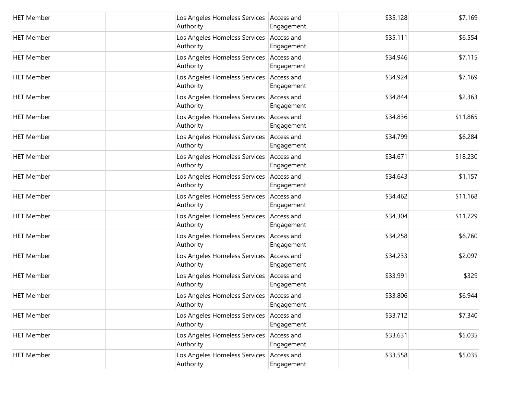| <b>HET Member</b> | Los Angeles Homeless Services Access and<br>Authority   | Engagement               | \$35,128 | \$7,169  |
|-------------------|---------------------------------------------------------|--------------------------|----------|----------|
| <b>HET Member</b> | Los Angeles Homeless Services Access and<br>Authority   | Engagement               | \$35,111 | \$6,554  |
| <b>HET Member</b> | Los Angeles Homeless Services Access and<br>Authority   | Engagement               | \$34,946 | \$7,115  |
| <b>HET Member</b> | Los Angeles Homeless Services Access and<br>Authority   | Engagement               | \$34,924 | \$7,169  |
| <b>HET Member</b> | Los Angeles Homeless Services   Access and<br>Authority | Engagement               | \$34,844 | \$2,363  |
| <b>HET Member</b> | Los Angeles Homeless Services Access and<br>Authority   | Engagement               | \$34,836 | \$11,865 |
| <b>HET Member</b> | Los Angeles Homeless Services Access and<br>Authority   | Engagement               | \$34,799 | \$6,284  |
| <b>HET Member</b> | Los Angeles Homeless Services Access and<br>Authority   | Engagement               | \$34,671 | \$18,230 |
| <b>HET Member</b> | Los Angeles Homeless Services Access and<br>Authority   | Engagement               | \$34,643 | \$1,157  |
| <b>HET Member</b> | Los Angeles Homeless Services Access and<br>Authority   | Engagement               | \$34,462 | \$11,168 |
| <b>HET Member</b> | Los Angeles Homeless Services   Access and<br>Authority | Engagement               | \$34,304 | \$11,729 |
| <b>HET Member</b> | Los Angeles Homeless Services Access and<br>Authority   | Engagement               | \$34,258 | \$6,760  |
| <b>HET Member</b> | Los Angeles Homeless Services Access and<br>Authority   | Engagement               | \$34,233 | \$2,097  |
| <b>HET Member</b> | Los Angeles Homeless Services Access and<br>Authority   | Engagement               | \$33,991 | \$329    |
| <b>HET Member</b> | Los Angeles Homeless Services Access and<br>Authority   | Engagement               | \$33,806 | \$6,944  |
| <b>HET Member</b> | Los Angeles Homeless Services<br>Authority              | Access and<br>Engagement | \$33,712 | \$7,340  |
| <b>HET Member</b> | Los Angeles Homeless Services<br>Authority              | Access and<br>Engagement | \$33,631 | \$5,035  |
| <b>HET Member</b> | Los Angeles Homeless Services<br>Authority              | Access and<br>Engagement | \$33,558 | \$5,035  |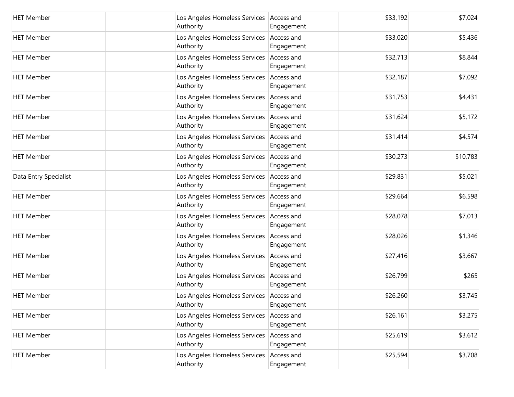| <b>HET Member</b>     | Los Angeles Homeless Services   Access and<br>Authority | Engagement               | \$33,192 | \$7,024  |
|-----------------------|---------------------------------------------------------|--------------------------|----------|----------|
| <b>HET Member</b>     | Los Angeles Homeless Services Access and<br>Authority   | Engagement               | \$33,020 | \$5,436  |
| <b>HET Member</b>     | Los Angeles Homeless Services Access and<br>Authority   | Engagement               | \$32,713 | \$8,844  |
| <b>HET Member</b>     | Los Angeles Homeless Services Access and<br>Authority   | Engagement               | \$32,187 | \$7,092  |
| <b>HET Member</b>     | Los Angeles Homeless Services Access and<br>Authority   | Engagement               | \$31,753 | \$4,431  |
| <b>HET Member</b>     | Los Angeles Homeless Services Access and<br>Authority   | Engagement               | \$31,624 | \$5,172  |
| <b>HET Member</b>     | Los Angeles Homeless Services Access and<br>Authority   | Engagement               | \$31,414 | \$4,574  |
| <b>HET Member</b>     | Los Angeles Homeless Services Access and<br>Authority   | Engagement               | \$30,273 | \$10,783 |
| Data Entry Specialist | Los Angeles Homeless Services Access and<br>Authority   | Engagement               | \$29,831 | \$5,021  |
| <b>HET Member</b>     | Los Angeles Homeless Services Access and<br>Authority   | Engagement               | \$29,664 | \$6,598  |
| <b>HET Member</b>     | Los Angeles Homeless Services Access and<br>Authority   | Engagement               | \$28,078 | \$7,013  |
| <b>HET Member</b>     | Los Angeles Homeless Services Access and<br>Authority   | Engagement               | \$28,026 | \$1,346  |
| <b>HET Member</b>     | Los Angeles Homeless Services Access and<br>Authority   | Engagement               | \$27,416 | \$3,667  |
| <b>HET Member</b>     | Los Angeles Homeless Services   Access and<br>Authority | Engagement               | \$26,799 | \$265    |
| <b>HET Member</b>     | Los Angeles Homeless Services Access and<br>Authority   | Engagement               | \$26,260 | \$3,745  |
| <b>HET Member</b>     | Los Angeles Homeless Services<br>Authority              | Access and<br>Engagement | \$26,161 | \$3,275  |
| <b>HET Member</b>     | Los Angeles Homeless Services<br>Authority              | Access and<br>Engagement | \$25,619 | \$3,612  |
| <b>HET Member</b>     | Los Angeles Homeless Services<br>Authority              | Access and<br>Engagement | \$25,594 | \$3,708  |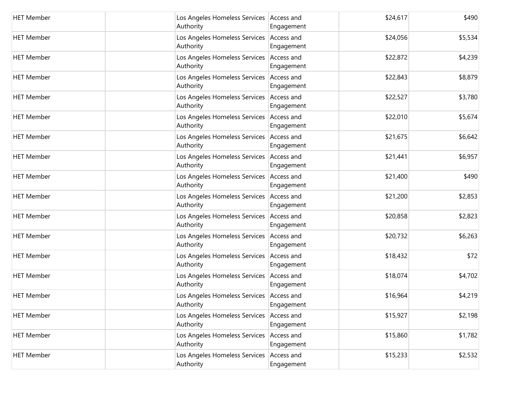| <b>HET Member</b> | Los Angeles Homeless Services Access and<br>Authority   | Engagement               | \$24,617 | \$490   |
|-------------------|---------------------------------------------------------|--------------------------|----------|---------|
| <b>HET Member</b> | Los Angeles Homeless Services Access and<br>Authority   | Engagement               | \$24,056 | \$5,534 |
| <b>HET Member</b> | Los Angeles Homeless Services Access and<br>Authority   | Engagement               | \$22,872 | \$4,239 |
| <b>HET Member</b> | Los Angeles Homeless Services Access and<br>Authority   | Engagement               | \$22,843 | \$8,879 |
| <b>HET Member</b> | Los Angeles Homeless Services Access and<br>Authority   | Engagement               | \$22,527 | \$3,780 |
| <b>HET Member</b> | Los Angeles Homeless Services Access and<br>Authority   | Engagement               | \$22,010 | \$5,674 |
| <b>HET Member</b> | Los Angeles Homeless Services Access and<br>Authority   | Engagement               | \$21,675 | \$6,642 |
| <b>HET Member</b> | Los Angeles Homeless Services Access and<br>Authority   | Engagement               | \$21,441 | \$6,957 |
| <b>HET Member</b> | Los Angeles Homeless Services Access and<br>Authority   | Engagement               | \$21,400 | \$490   |
| <b>HET Member</b> | Los Angeles Homeless Services Access and<br>Authority   | Engagement               | \$21,200 | \$2,853 |
| <b>HET Member</b> | Los Angeles Homeless Services   Access and<br>Authority | Engagement               | \$20,858 | \$2,823 |
| <b>HET Member</b> | Los Angeles Homeless Services Access and<br>Authority   | Engagement               | \$20,732 | \$6,263 |
| <b>HET Member</b> | Los Angeles Homeless Services Access and<br>Authority   | Engagement               | \$18,432 | \$72    |
| <b>HET Member</b> | Los Angeles Homeless Services Access and<br>Authority   | Engagement               | \$18,074 | \$4,702 |
| <b>HET Member</b> | Los Angeles Homeless Services Access and<br>Authority   | Engagement               | \$16,964 | \$4,219 |
| <b>HET Member</b> | Los Angeles Homeless Services<br>Authority              | Access and<br>Engagement | \$15,927 | \$2,198 |
| <b>HET Member</b> | Los Angeles Homeless Services<br>Authority              | Access and<br>Engagement | \$15,860 | \$1,782 |
| <b>HET Member</b> | Los Angeles Homeless Services<br>Authority              | Access and<br>Engagement | \$15,233 | \$2,532 |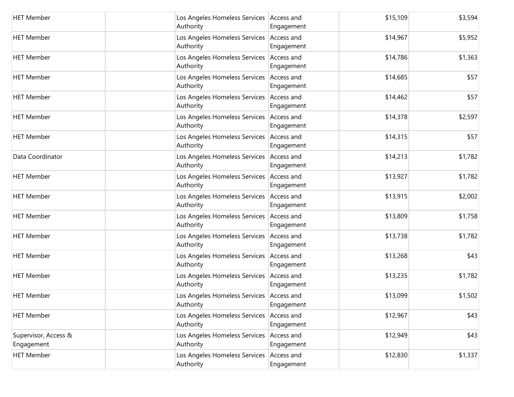| <b>HET Member</b>                  | Los Angeles Homeless Services   Access and<br>Authority | Engagement               | \$15,109 | \$3,594 |
|------------------------------------|---------------------------------------------------------|--------------------------|----------|---------|
| <b>HET Member</b>                  | Los Angeles Homeless Services Access and<br>Authority   | Engagement               | \$14,967 | \$5,952 |
| <b>HET Member</b>                  | Los Angeles Homeless Services   Access and<br>Authority | Engagement               | \$14,786 | \$1,363 |
| <b>HET Member</b>                  | Los Angeles Homeless Services Access and<br>Authority   | Engagement               | \$14,685 | \$57    |
| <b>HET Member</b>                  | Los Angeles Homeless Services   Access and<br>Authority | Engagement               | \$14,462 | \$57    |
| <b>HET Member</b>                  | Los Angeles Homeless Services Access and<br>Authority   | Engagement               | \$14,378 | \$2,597 |
| <b>HET Member</b>                  | Los Angeles Homeless Services   Access and<br>Authority | Engagement               | \$14,315 | \$57    |
| Data Coordinator                   | Los Angeles Homeless Services Access and<br>Authority   | Engagement               | \$14,213 | \$1,782 |
| <b>HET Member</b>                  | Los Angeles Homeless Services Access and<br>Authority   | Engagement               | \$13,927 | \$1,782 |
| <b>HET Member</b>                  | Los Angeles Homeless Services Access and<br>Authority   | Engagement               | \$13,915 | \$2,002 |
| <b>HET Member</b>                  | Los Angeles Homeless Services Access and<br>Authority   | Engagement               | \$13,809 | \$1,758 |
| <b>HET Member</b>                  | Los Angeles Homeless Services Access and<br>Authority   | Engagement               | \$13,738 | \$1,782 |
| <b>HET Member</b>                  | Los Angeles Homeless Services Access and<br>Authority   | Engagement               | \$13,268 | \$43    |
| <b>HET Member</b>                  | Los Angeles Homeless Services   Access and<br>Authority | Engagement               | \$13,235 | \$1,782 |
| <b>HET Member</b>                  | Los Angeles Homeless Services Access and<br>Authority   | Engagement               | \$13,099 | \$1,502 |
| <b>HET Member</b>                  | Los Angeles Homeless Services<br>Authority              | Access and<br>Engagement | \$12,967 | \$43    |
| Supervisor, Access &<br>Engagement | Los Angeles Homeless Services Access and<br>Authority   | Engagement               | \$12,949 | \$43    |
| <b>HET Member</b>                  | Los Angeles Homeless Services<br>Authority              | Access and<br>Engagement | \$12,830 | \$1,337 |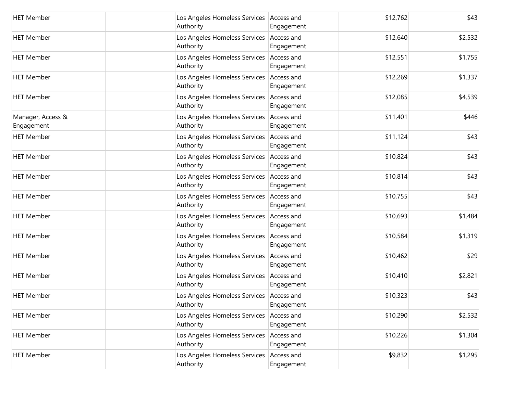| <b>HET Member</b>               | Los Angeles Homeless Services Access and<br>Authority   | Engagement               | \$12,762 | \$43    |
|---------------------------------|---------------------------------------------------------|--------------------------|----------|---------|
| <b>HET Member</b>               | Los Angeles Homeless Services Access and<br>Authority   | Engagement               | \$12,640 | \$2,532 |
| <b>HET Member</b>               | Los Angeles Homeless Services Access and<br>Authority   | Engagement               | \$12,551 | \$1,755 |
| <b>HET Member</b>               | Los Angeles Homeless Services Access and<br>Authority   | Engagement               | \$12,269 | \$1,337 |
| <b>HET Member</b>               | Los Angeles Homeless Services   Access and<br>Authority | Engagement               | \$12,085 | \$4,539 |
| Manager, Access &<br>Engagement | Los Angeles Homeless Services   Access and<br>Authority | Engagement               | \$11,401 | \$446   |
| <b>HET Member</b>               | Los Angeles Homeless Services Access and<br>Authority   | Engagement               | \$11,124 | \$43    |
| <b>HET Member</b>               | Los Angeles Homeless Services Access and<br>Authority   | Engagement               | \$10,824 | \$43    |
| <b>HET Member</b>               | Los Angeles Homeless Services Access and<br>Authority   | Engagement               | \$10,814 | \$43    |
| <b>HET Member</b>               | Los Angeles Homeless Services Access and<br>Authority   | Engagement               | \$10,755 | \$43    |
| <b>HET Member</b>               | Los Angeles Homeless Services   Access and<br>Authority | Engagement               | \$10,693 | \$1,484 |
| <b>HET Member</b>               | Los Angeles Homeless Services Access and<br>Authority   | Engagement               | \$10,584 | \$1,319 |
| <b>HET Member</b>               | Los Angeles Homeless Services Access and<br>Authority   | Engagement               | \$10,462 | \$29    |
| <b>HET Member</b>               | Los Angeles Homeless Services Access and<br>Authority   | Engagement               | \$10,410 | \$2,821 |
| <b>HET Member</b>               | Los Angeles Homeless Services Access and<br>Authority   | Engagement               | \$10,323 | \$43    |
| <b>HET Member</b>               | Los Angeles Homeless Services<br>Authority              | Access and<br>Engagement | \$10,290 | \$2,532 |
| <b>HET Member</b>               | Los Angeles Homeless Services<br>Authority              | Access and<br>Engagement | \$10,226 | \$1,304 |
| <b>HET Member</b>               | Los Angeles Homeless Services<br>Authority              | Access and<br>Engagement | \$9,832  | \$1,295 |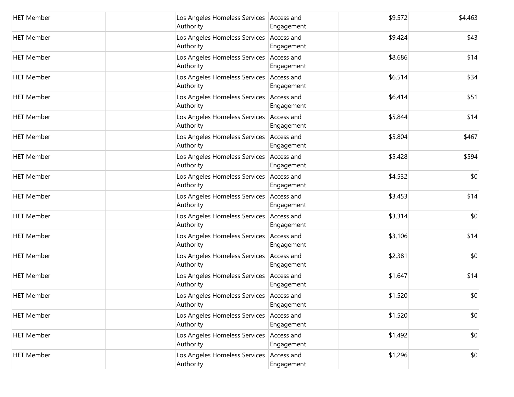| <b>HET Member</b> | Los Angeles Homeless Services   Access and<br>Authority | Engagement               | \$9,572 | \$4,463 |
|-------------------|---------------------------------------------------------|--------------------------|---------|---------|
| <b>HET Member</b> | Los Angeles Homeless Services Access and<br>Authority   | Engagement               | \$9,424 | \$43    |
| <b>HET Member</b> | Los Angeles Homeless Services Access and<br>Authority   | Engagement               | \$8,686 | \$14    |
| <b>HET Member</b> | Los Angeles Homeless Services Access and<br>Authority   | Engagement               | \$6,514 | \$34    |
| <b>HET Member</b> | Los Angeles Homeless Services Access and<br>Authority   | Engagement               | \$6,414 | \$51    |
| <b>HET Member</b> | Los Angeles Homeless Services Access and<br>Authority   | Engagement               | \$5,844 | \$14    |
| <b>HET Member</b> | Los Angeles Homeless Services Access and<br>Authority   | Engagement               | \$5,804 | \$467   |
| <b>HET Member</b> | Los Angeles Homeless Services Access and<br>Authority   | Engagement               | \$5,428 | \$594   |
| <b>HET Member</b> | Los Angeles Homeless Services Access and<br>Authority   | Engagement               | \$4,532 | \$0     |
| <b>HET Member</b> | Los Angeles Homeless Services Access and<br>Authority   | Engagement               | \$3,453 | \$14    |
| <b>HET Member</b> | Los Angeles Homeless Services Access and<br>Authority   | Engagement               | \$3,314 | \$0     |
| <b>HET Member</b> | Los Angeles Homeless Services Access and<br>Authority   | Engagement               | \$3,106 | \$14    |
| <b>HET Member</b> | Los Angeles Homeless Services Access and<br>Authority   | Engagement               | \$2,381 | \$0     |
| <b>HET Member</b> | Los Angeles Homeless Services Access and<br>Authority   | Engagement               | \$1,647 | \$14    |
| <b>HET Member</b> | Los Angeles Homeless Services Access and<br>Authority   | Engagement               | \$1,520 | \$0     |
| <b>HET Member</b> | Los Angeles Homeless Services<br>Authority              | Access and<br>Engagement | \$1,520 | \$0     |
| <b>HET Member</b> | Los Angeles Homeless Services<br>Authority              | Access and<br>Engagement | \$1,492 | \$0     |
| <b>HET Member</b> | Los Angeles Homeless Services<br>Authority              | Access and<br>Engagement | \$1,296 | \$0     |